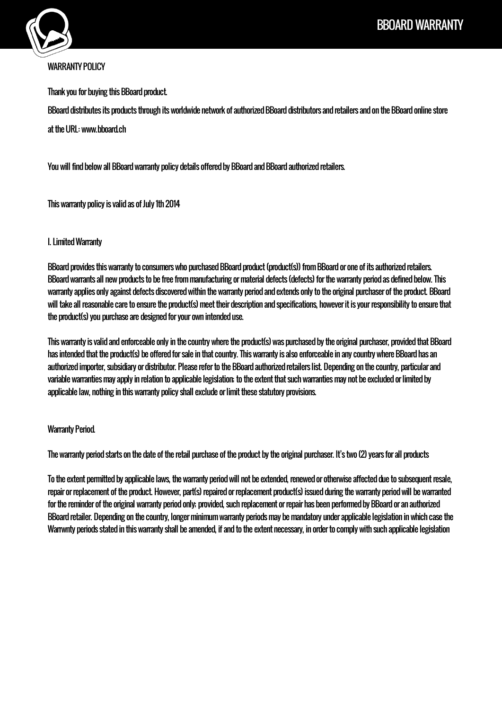

# WARRANTY POLICY

Thank you for buying this BBoard product.

BBoard distributes its products through its worldwide network of authorized BBoard distributors and retailers and on the BBoard online store at the URL: www.bboard.ch

You will find below all BBoard warranty policy details offered by BBoard and BBoard authorized retailers.

This warranty policy is valid as of July 1th 2014

## I. Limited Warranty

BBoard provides this warranty to consumers who purchased BBoard product (product(s)) from BBoard or one of its authorized retailers. BBoard warrants all new products to be free from manufacturing or material defects (defects) for the warranty period as defined below. This warranty applies only against defects discovered within the warranty period and extends only to the original purchaser of the product. BBoard will take all reasonable care to ensure the product(s) meet their description and specifications, however it is your responsibility to ensure that the product(s) you purchase are designed for your own intended use.

This warranty is valid and enforceable only in the country where the product(s) was purchased by the original purchaser, provided that BBoard has intended that the product(s) be offered for sale in that country. This warranty is also enforceable in any country where BBoard has an authorized importer, subsidiary or distributor. Please refer to the BBoard authorized retailers list. Depending on the country, particular and variable warranties may apply in relation to applicable legislation; to the extent that such warranties may not be excluded or limited by applicable law, nothing in this warranty policy shall exclude or limit these statutory provisions.

### Warranty Period.

The warranty period starts on the date of the retail purchase of the product by the original purchaser. It's two (2) years for all products

To the extent permitted by applicable laws, the warranty period will not be extended, renewed or otherwise affected due to subsequent resale, repair or replacement of the product. However, part(s) repaired or replacement product(s) issued during the warranty period will be warranted for the reminder of the original warranty period only; provided, such replacement or repair has been performed by BBoard or an authorized BBoard retailer. Depending on the country, longer minimum warranty periods may be mandatory under applicable legislation in which case the Warrwnty periods stated in this warranty shall be amended, if and to the extent necessary, in order to comply with such applicable legislation